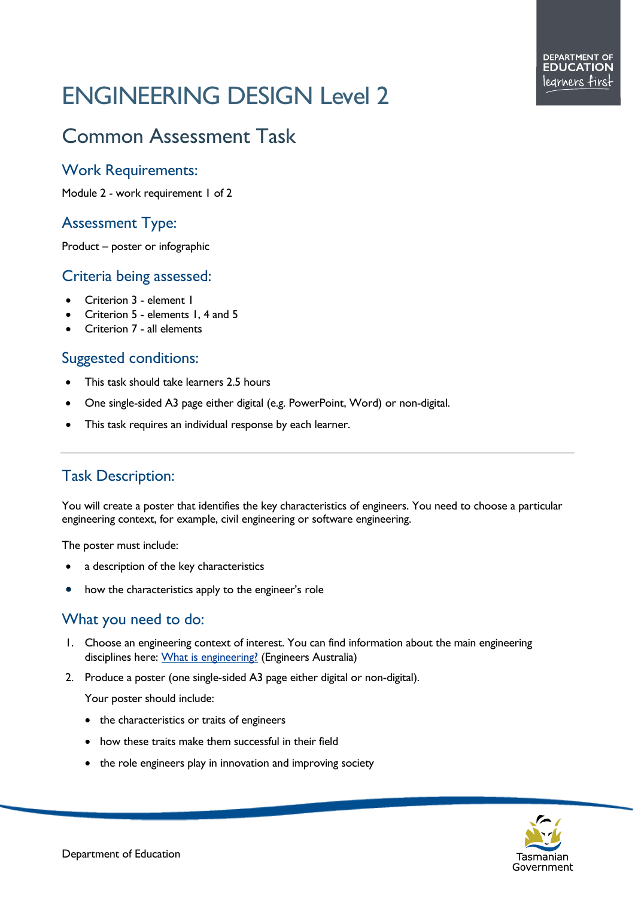# ENGINEERING DESIGN Level 2

# Common Assessment Task

#### Work Requirements:

Module 2 - work requirement 1 of 2

## Assessment Type:

Product – poster or infographic

#### Criteria being assessed:

- Criterion 3 element 1
- Criterion 5 elements 1, 4 and 5
- Criterion 7 all elements

#### Suggested conditions:

- This task should take learners 2.5 hours
- One single-sided A3 page either digital (e.g. PowerPoint, Word) or non-digital.
- This task requires an individual response by each learner.

## Task Description:

You will create a poster that identifies the key characteristics of engineers. You need to choose a particular engineering context, for example, civil engineering or software engineering.

The poster must include:

- a description of the key characteristics
- how the characteristics apply to the engineer's role

# What you need to do:

- 1. Choose an engineering context of interest. You can find information about the main engineering disciplines here: [What is engineering?](https://www.engineersaustralia.org.au/For-Students-And-Educators/Engineering-Careers/What-Is-Engineering) (Engineers Australia)
- 2. Produce a poster (one single-sided A3 page either digital or non-digital).

Your poster should include:

- the characteristics or traits of engineers
- how these traits make them successful in their field
- the role engineers play in innovation and improving society